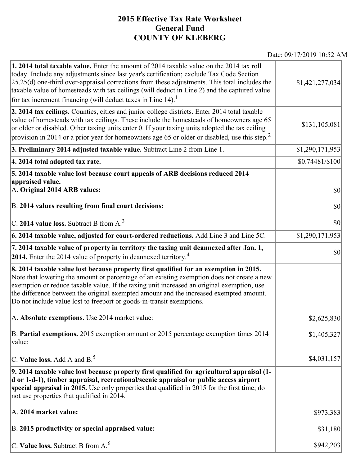## **2015 Effective Tax Rate Worksheet General Fund COUNTY OF KLEBERG**

Date: 09/17/2019 10:52 AM

| <b>1. 2014 total taxable value.</b> Enter the amount of 2014 taxable value on the 2014 tax roll<br>today. Include any adjustments since last year's certification; exclude Tax Code Section<br>$[25.25(d)$ one-third over-appraisal corrections from these adjustments. This total includes the<br>taxable value of homesteads with tax ceilings (will deduct in Line 2) and the captured value<br>for tax increment financing (will deduct taxes in Line $14$ ). <sup>1</sup> | \$1,421,277,034  |
|--------------------------------------------------------------------------------------------------------------------------------------------------------------------------------------------------------------------------------------------------------------------------------------------------------------------------------------------------------------------------------------------------------------------------------------------------------------------------------|------------------|
| 2. 2014 tax ceilings. Counties, cities and junior college districts. Enter 2014 total taxable<br>value of homesteads with tax ceilings. These include the homesteads of homeowners age 65<br>or older or disabled. Other taxing units enter 0. If your taxing units adopted the tax ceiling<br>provision in 2014 or a prior year for homeowners age 65 or older or disabled, use this step. <sup>2</sup>                                                                       | \$131,105,081    |
| 3. Preliminary 2014 adjusted taxable value. Subtract Line 2 from Line 1.                                                                                                                                                                                                                                                                                                                                                                                                       | \$1,290,171,953  |
| 4. 2014 total adopted tax rate.                                                                                                                                                                                                                                                                                                                                                                                                                                                | $$0.74481/\$100$ |
| 5. 2014 taxable value lost because court appeals of ARB decisions reduced 2014                                                                                                                                                                                                                                                                                                                                                                                                 |                  |
| appraised value.<br>A. Original 2014 ARB values:                                                                                                                                                                                                                                                                                                                                                                                                                               | $ 10\rangle$     |
| B. 2014 values resulting from final court decisions:                                                                                                                                                                                                                                                                                                                                                                                                                           | $ 10\rangle$     |
| C. 2014 value loss. Subtract B from $A3$                                                                                                                                                                                                                                                                                                                                                                                                                                       | \$0              |
| 6. 2014 taxable value, adjusted for court-ordered reductions. Add Line 3 and Line 5C.                                                                                                                                                                                                                                                                                                                                                                                          | \$1,290,171,953  |
| 7. 2014 taxable value of property in territory the taxing unit deannexed after Jan. 1,<br><b>2014.</b> Enter the 2014 value of property in deannexed territory. <sup>4</sup>                                                                                                                                                                                                                                                                                                   | $ 10\rangle$     |
| 8. 2014 taxable value lost because property first qualified for an exemption in 2015.<br>Note that lowering the amount or percentage of an existing exemption does not create a new<br>exemption or reduce taxable value. If the taxing unit increased an original exemption, use<br>the difference between the original exempted amount and the increased exempted amount.<br>Do not include value lost to freeport or goods-in-transit exemptions.                           |                  |
| A. Absolute exemptions. Use 2014 market value:                                                                                                                                                                                                                                                                                                                                                                                                                                 | \$2,625,830      |
| B. Partial exemptions. 2015 exemption amount or 2015 percentage exemption times 2014<br>$\vert$ value:                                                                                                                                                                                                                                                                                                                                                                         | \$1,405,327      |
| C. Value loss. Add A and $B^5$ .                                                                                                                                                                                                                                                                                                                                                                                                                                               | \$4,031,157      |
| 9. 2014 taxable value lost because property first qualified for agricultural appraisal (1-<br>d or 1-d-1), timber appraisal, recreational/scenic appraisal or public access airport<br>special appraisal in 2015. Use only properties that qualified in 2015 for the first time; do<br>not use properties that qualified in 2014.                                                                                                                                              |                  |
| A. 2014 market value:                                                                                                                                                                                                                                                                                                                                                                                                                                                          | \$973,383        |
| B. 2015 productivity or special appraised value:                                                                                                                                                                                                                                                                                                                                                                                                                               | \$31,180         |
| C. Value loss. Subtract B from $A6$                                                                                                                                                                                                                                                                                                                                                                                                                                            | \$942,203        |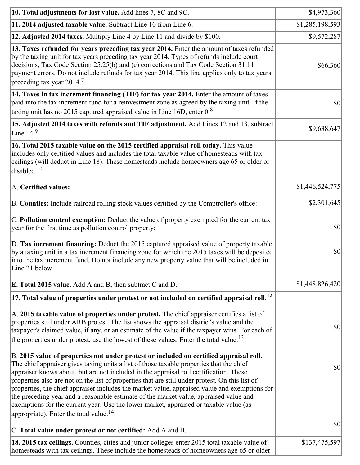| 10. Total adjustments for lost value. Add lines 7, 8C and 9C.                                                                                                                                                                                                                                                                                                                                                                                                                                                                                                                                                                                                                                                            | \$4,973,360     |
|--------------------------------------------------------------------------------------------------------------------------------------------------------------------------------------------------------------------------------------------------------------------------------------------------------------------------------------------------------------------------------------------------------------------------------------------------------------------------------------------------------------------------------------------------------------------------------------------------------------------------------------------------------------------------------------------------------------------------|-----------------|
| 11. 2014 adjusted taxable value. Subtract Line 10 from Line 6.                                                                                                                                                                                                                                                                                                                                                                                                                                                                                                                                                                                                                                                           | \$1,285,198,593 |
| <b>12. Adjusted 2014 taxes.</b> Multiply Line 4 by Line 11 and divide by \$100.                                                                                                                                                                                                                                                                                                                                                                                                                                                                                                                                                                                                                                          | \$9,572,287     |
| 13. Taxes refunded for years preceding tax year 2014. Enter the amount of taxes refunded<br>by the taxing unit for tax years preceding tax year 2014. Types of refunds include court<br>decisions, Tax Code Section 25.25(b) and (c) corrections and Tax Code Section 31.11<br>payment errors. Do not include refunds for tax year 2014. This line applies only to tax years<br>preceding tax year $2014.7$                                                                                                                                                                                                                                                                                                              | \$66,360        |
| 14. Taxes in tax increment financing (TIF) for tax year 2014. Enter the amount of taxes<br>paid into the tax increment fund for a reinvestment zone as agreed by the taxing unit. If the<br>taxing unit has no 2015 captured appraised value in Line 16D, enter $0.8$                                                                                                                                                                                                                                                                                                                                                                                                                                                    | $ 10\rangle$    |
| 15. Adjusted 2014 taxes with refunds and TIF adjustment. Add Lines 12 and 13, subtract<br>Line $149$                                                                                                                                                                                                                                                                                                                                                                                                                                                                                                                                                                                                                     | \$9,638,647     |
| 16. Total 2015 taxable value on the 2015 certified appraisal roll today. This value<br>includes only certified values and includes the total taxable value of homesteads with tax<br>ceilings (will deduct in Line 18). These homesteads include homeowners age 65 or older or<br>disabled. $10$                                                                                                                                                                                                                                                                                                                                                                                                                         |                 |
| A. Certified values:                                                                                                                                                                                                                                                                                                                                                                                                                                                                                                                                                                                                                                                                                                     | \$1,446,524,775 |
| B. Counties: Include railroad rolling stock values certified by the Comptroller's office:                                                                                                                                                                                                                                                                                                                                                                                                                                                                                                                                                                                                                                | \$2,301,645     |
| C. Pollution control exemption: Deduct the value of property exempted for the current tax<br>year for the first time as pollution control property:                                                                                                                                                                                                                                                                                                                                                                                                                                                                                                                                                                      | $ 10\rangle$    |
| D. Tax increment financing: Deduct the 2015 captured appraised value of property taxable<br>by a taxing unit in a tax increment financing zone for which the 2015 taxes will be deposited<br>into the tax increment fund. Do not include any new property value that will be included in<br>Line 21 below.                                                                                                                                                                                                                                                                                                                                                                                                               | $ 10\rangle$    |
| <b>E. Total 2015 value.</b> Add A and B, then subtract C and D.                                                                                                                                                                                                                                                                                                                                                                                                                                                                                                                                                                                                                                                          | \$1,448,826,420 |
| $ 17.$ Total value of properties under protest or not included on certified appraisal roll. $^{12}$                                                                                                                                                                                                                                                                                                                                                                                                                                                                                                                                                                                                                      |                 |
| A. 2015 taxable value of properties under protest. The chief appraiser certifies a list of<br>properties still under ARB protest. The list shows the appraisal district's value and the<br>taxpayer's claimed value, if any, or an estimate of the value if the taxpayer wins. For each of<br>the properties under protest, use the lowest of these values. Enter the total value. <sup>13</sup>                                                                                                                                                                                                                                                                                                                         | \$0             |
| B. 2015 value of properties not under protest or included on certified appraisal roll.<br>The chief appraiser gives taxing units a list of those taxable properties that the chief<br>appraiser knows about, but are not included in the appraisal roll certification. These<br>properties also are not on the list of properties that are still under protest. On this list of<br>properties, the chief appraiser includes the market value, appraised value and exemptions for<br>the preceding year and a reasonable estimate of the market value, appraised value and<br>exemptions for the current year. Use the lower market, appraised or taxable value (as<br>appropriate). Enter the total value. <sup>14</sup> | \$0             |
| C. Total value under protest or not certified: Add A and B.                                                                                                                                                                                                                                                                                                                                                                                                                                                                                                                                                                                                                                                              | $ 10\rangle$    |
| 18. 2015 tax ceilings. Counties, cities and junior colleges enter 2015 total taxable value of<br>homesteads with tax ceilings. These include the homesteads of homeowners age 65 or older                                                                                                                                                                                                                                                                                                                                                                                                                                                                                                                                | \$137,475,597   |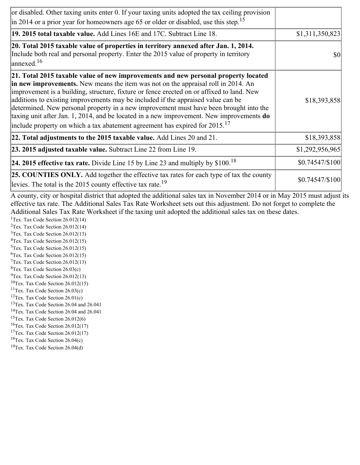| or disabled. Other taxing units enter 0. If your taxing units adopted the tax ceiling provision<br>$\left  \text{in } 2014 \text{ or a prior year for home owners age } 65 \text{ or older or disabled, use this step.} \right ^{15}$                                                                                                                                                                                                                                                                                                                                                                                                        |                 |
|----------------------------------------------------------------------------------------------------------------------------------------------------------------------------------------------------------------------------------------------------------------------------------------------------------------------------------------------------------------------------------------------------------------------------------------------------------------------------------------------------------------------------------------------------------------------------------------------------------------------------------------------|-----------------|
| 19. 2015 total taxable value. Add Lines 16E and 17C. Subtract Line 18.                                                                                                                                                                                                                                                                                                                                                                                                                                                                                                                                                                       | \$1,311,350,823 |
| 20. Total 2015 taxable value of properties in territory annexed after Jan. 1, 2014.<br>Include both real and personal property. Enter the 2015 value of property in territory<br>$\vert$ annexed. <sup>16</sup>                                                                                                                                                                                                                                                                                                                                                                                                                              | \$0             |
| 21. Total 2015 taxable value of new improvements and new personal property located<br>in new improvements. New means the item was not on the appraisal roll in 2014. An<br>improvement is a building, structure, fixture or fence erected on or affixed to land. New<br>additions to existing improvements may be included if the appraised value can be<br>determined. New personal property in a new improvement must have been brought into the<br>taxing unit after Jan. 1, 2014, and be located in a new improvement. New improvements do<br>include property on which a tax abatement agreement has expired for $2015$ . <sup>17</sup> | \$18,393,858    |
| 22. Total adjustments to the 2015 taxable value. Add Lines 20 and 21.                                                                                                                                                                                                                                                                                                                                                                                                                                                                                                                                                                        | \$18,393,858    |
| 23. 2015 adjusted taxable value. Subtract Line 22 from Line 19.                                                                                                                                                                                                                                                                                                                                                                                                                                                                                                                                                                              | \$1,292,956,965 |
| 24. 2015 effective tax rate. Divide Line 15 by Line 23 and multiply by $$100$ . <sup>18</sup>                                                                                                                                                                                                                                                                                                                                                                                                                                                                                                                                                | \$0.74547/\$100 |
| <b>25. COUNTIES ONLY.</b> Add together the effective tax rates for each type of tax the county<br>levies. The total is the 2015 county effective tax rate. <sup>19</sup>                                                                                                                                                                                                                                                                                                                                                                                                                                                                     | \$0.74547/\$100 |

A county, city or hospital district that adopted the additional sales tax in November 2014 or in May 2015 must adjust its effective tax rate. The Additional Sales Tax Rate Worksheet sets out this adjustment. Do not forget to complete the Additional Sales Tax Rate Worksheet if the taxing unit adopted the additional sales tax on these dates.

<sup>1</sup>Tex. Tax Code Section  $26.012(14)$ <sup>2</sup>Tex. Tax Code Section  $26.012(14)$  $3$ Tex. Tax Code Section 26.012(13)  ${}^{4}$ Tex. Tax Code Section 26.012(15)  $5$ Tex. Tax Code Section 26.012(15)  ${}^{6}$ Tex. Tax Code Section 26.012(15)  $7$ Tex. Tax Code Section 26.012(13)  ${}^{8}$ Tex. Tax Code Section 26.03(c)

- $^{9}$ Tex. Tax Code Section 26.012(13)  $10$ Tex. Tax Code Section 26.012(15)
- <sup>11</sup>Tex. Tax Code Section  $26.03(c)$
- <sup>12</sup>Tex. Tax Code Section  $26.01(c)$
- <sup>13</sup>Tex. Tax Code Section 26.04 and 26.041
- <sup>14</sup>Tex. Tax Code Section 26.04 and 26.041
- $15$ Tex. Tax Code Section 26.012(6)
- <sup>16</sup>Tex. Tax Code Section  $26.012(17)$
- <sup>17</sup>Tex. Tax Code Section  $26.012(17)$
- ${}^{18}$ Tex. Tax Code Section 26.04(c)
- <sup>19</sup>Tex. Tax Code Section 26.04(d)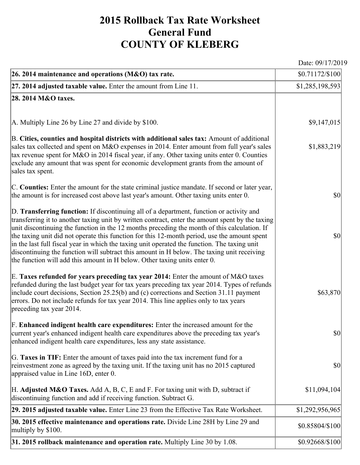## **2015 Rollback Tax Rate Worksheet General Fund COUNTY OF KLEBERG**

Date: 09/17/2019

| 26. 2014 maintenance and operations (M&O) tax rate.                                                                                                                                                                                                                                                                                                                                                                                                                                                                                                                                                                                                                     | \$0.71172/\$100                     |
|-------------------------------------------------------------------------------------------------------------------------------------------------------------------------------------------------------------------------------------------------------------------------------------------------------------------------------------------------------------------------------------------------------------------------------------------------------------------------------------------------------------------------------------------------------------------------------------------------------------------------------------------------------------------------|-------------------------------------|
| $ 27.2014$ adjusted taxable value. Enter the amount from Line 11.                                                                                                                                                                                                                                                                                                                                                                                                                                                                                                                                                                                                       | \$1,285,198,593                     |
| 28. 2014 M&O taxes.                                                                                                                                                                                                                                                                                                                                                                                                                                                                                                                                                                                                                                                     |                                     |
|                                                                                                                                                                                                                                                                                                                                                                                                                                                                                                                                                                                                                                                                         |                                     |
| A. Multiply Line 26 by Line 27 and divide by \$100.                                                                                                                                                                                                                                                                                                                                                                                                                                                                                                                                                                                                                     | \$9,147,015                         |
| B. Cities, counties and hospital districts with additional sales tax: Amount of additional<br>sales tax collected and spent on M&O expenses in 2014. Enter amount from full year's sales<br>tax revenue spent for M&O in 2014 fiscal year, if any. Other taxing units enter 0. Counties<br>exclude any amount that was spent for economic development grants from the amount of<br>sales tax spent.                                                                                                                                                                                                                                                                     | \$1,883,219                         |
| C. Counties: Enter the amount for the state criminal justice mandate. If second or later year,<br>the amount is for increased cost above last year's amount. Other taxing units enter 0.                                                                                                                                                                                                                                                                                                                                                                                                                                                                                | <b>\$0</b>                          |
| D. Transferring function: If discontinuing all of a department, function or activity and<br>transferring it to another taxing unit by written contract, enter the amount spent by the taxing<br>unit discontinuing the function in the 12 months preceding the month of this calculation. If<br>the taxing unit did not operate this function for this 12-month period, use the amount spent<br>in the last full fiscal year in which the taxing unit operated the function. The taxing unit<br>discontinuing the function will subtract this amount in H below. The taxing unit receiving<br>the function will add this amount in H below. Other taxing units enter 0. | $ 10\rangle$                        |
| E. Taxes refunded for years preceding tax year 2014: Enter the amount of M&O taxes<br>refunded during the last budget year for tax years preceding tax year 2014. Types of refunds<br>include court decisions, Section 25.25(b) and (c) corrections and Section 31.11 payment<br>errors. Do not include refunds for tax year 2014. This line applies only to tax years<br>preceding tax year 2014.                                                                                                                                                                                                                                                                      | \$63,870                            |
| F. Enhanced indigent health care expenditures: Enter the increased amount for the<br>current year's enhanced indigent health care expenditures above the preceding tax year's<br>enhanced indigent health care expenditures, less any state assistance.                                                                                                                                                                                                                                                                                                                                                                                                                 | <b>\$0</b>                          |
| G. Taxes in TIF: Enter the amount of taxes paid into the tax increment fund for a<br>reinvestment zone as agreed by the taxing unit. If the taxing unit has no 2015 captured<br>appraised value in Line 16D, enter 0.                                                                                                                                                                                                                                                                                                                                                                                                                                                   | $\vert \mathbf{S} \mathbf{O} \vert$ |
| H. Adjusted M&O Taxes. Add A, B, C, E and F. For taxing unit with D, subtract if<br>discontinuing function and add if receiving function. Subtract G.                                                                                                                                                                                                                                                                                                                                                                                                                                                                                                                   | \$11,094,104                        |
| 29. 2015 adjusted taxable value. Enter Line 23 from the Effective Tax Rate Worksheet.                                                                                                                                                                                                                                                                                                                                                                                                                                                                                                                                                                                   | \$1,292,956,965                     |
| 30. 2015 effective maintenance and operations rate. Divide Line 28H by Line 29 and<br>multiply by \$100.                                                                                                                                                                                                                                                                                                                                                                                                                                                                                                                                                                | \$0.85804/\$100                     |
| 31. 2015 rollback maintenance and operation rate. Multiply Line 30 by 1.08.                                                                                                                                                                                                                                                                                                                                                                                                                                                                                                                                                                                             | \$0.92668/\$100                     |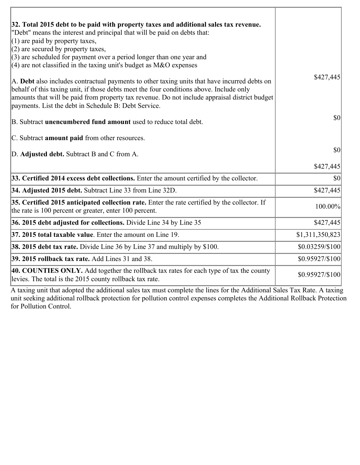| 32. Total 2015 debt to be paid with property taxes and additional sales tax revenue.<br>"Debt" means the interest and principal that will be paid on debts that:<br>$(1)$ are paid by property taxes,                                                                                                                                            |                                     |
|--------------------------------------------------------------------------------------------------------------------------------------------------------------------------------------------------------------------------------------------------------------------------------------------------------------------------------------------------|-------------------------------------|
| $(2)$ are secured by property taxes,<br>$(3)$ are scheduled for payment over a period longer than one year and<br>(4) are not classified in the taxing unit's budget as $M&O$ expenses                                                                                                                                                           |                                     |
| A. Debt also includes contractual payments to other taxing units that have incurred debts on<br>behalf of this taxing unit, if those debts meet the four conditions above. Include only<br>amounts that will be paid from property tax revenue. Do not include appraisal district budget<br>payments. List the debt in Schedule B: Debt Service. | \$427,445                           |
| B. Subtract unencumbered fund amount used to reduce total debt.                                                                                                                                                                                                                                                                                  | $ 10\rangle$                        |
| C. Subtract <b>amount paid</b> from other resources.                                                                                                                                                                                                                                                                                             |                                     |
| D. Adjusted debt. Subtract B and C from A.                                                                                                                                                                                                                                                                                                       | 30                                  |
|                                                                                                                                                                                                                                                                                                                                                  | \$427,445                           |
| 33. Certified 2014 excess debt collections. Enter the amount certified by the collector.                                                                                                                                                                                                                                                         | $\vert \mathbf{S} \mathbf{O} \vert$ |
| 34. Adjusted 2015 debt. Subtract Line 33 from Line 32D.                                                                                                                                                                                                                                                                                          | \$427,445                           |
| 35. Certified 2015 anticipated collection rate. Enter the rate certified by the collector. If<br>the rate is 100 percent or greater, enter 100 percent.                                                                                                                                                                                          | 100.00%                             |
| 36. 2015 debt adjusted for collections. Divide Line 34 by Line 35                                                                                                                                                                                                                                                                                | \$427,445                           |
| $ 37, 2015$ total taxable value. Enter the amount on Line 19.                                                                                                                                                                                                                                                                                    | \$1,311,350,823                     |
| <b>38. 2015 debt tax rate.</b> Divide Line 36 by Line 37 and multiply by \$100.                                                                                                                                                                                                                                                                  | $$0.03259/\$100$                    |
| 39. 2015 rollback tax rate. Add Lines 31 and 38.                                                                                                                                                                                                                                                                                                 | \$0.95927/\$100                     |
| 40. COUNTIES ONLY. Add together the rollback tax rates for each type of tax the county<br>levies. The total is the 2015 county rollback tax rate.                                                                                                                                                                                                | \$0.95927/\$100                     |

A taxing unit that adopted the additional sales tax must complete the lines for the Additional Sales Tax Rate. A taxing unit seeking additional rollback protection for pollution control expenses completes the Additional Rollback Protection for Pollution Control.